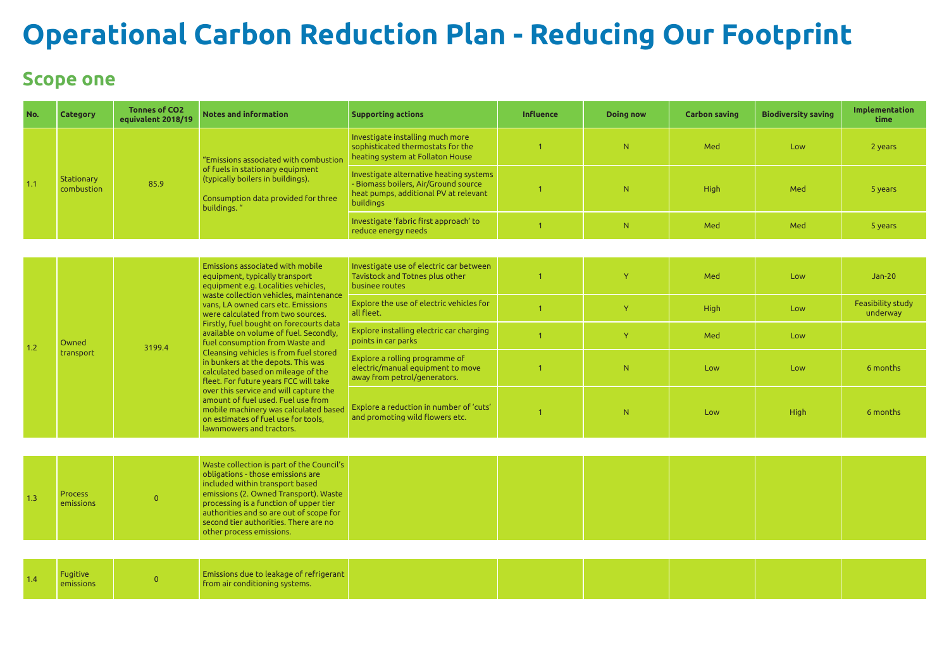# **Operational Carbon Reduction Plan - Reducing Our Footprint**

#### **Scope one**

| No. | <b>Category</b>             | <b>Tonnes of CO2</b><br>equivalent 2018/19 | <b>Notes and information</b>                                                                                                                                                                                                                                                                                                                                                                                                                                                                                                                                                                                                                                                                                      | <b>Supporting actions</b>                                                                                                           | <b>Influence</b> | <b>Doing now</b> | <b>Carbon saving</b> | <b>Biodiversity saving</b> | Implementation<br>time        |
|-----|-----------------------------|--------------------------------------------|-------------------------------------------------------------------------------------------------------------------------------------------------------------------------------------------------------------------------------------------------------------------------------------------------------------------------------------------------------------------------------------------------------------------------------------------------------------------------------------------------------------------------------------------------------------------------------------------------------------------------------------------------------------------------------------------------------------------|-------------------------------------------------------------------------------------------------------------------------------------|------------------|------------------|----------------------|----------------------------|-------------------------------|
| 1.1 |                             |                                            | "Emissions associated with combustion<br>of fuels in stationary equipment<br>(typically boilers in buildings).<br>Consumption data provided for three<br>buildings."                                                                                                                                                                                                                                                                                                                                                                                                                                                                                                                                              | Investigate installing much more<br>sophisticated thermostats for the<br>heating system at Follaton House                           |                  | N                | Med                  | Low                        | 2 years                       |
|     | Stationary<br>combustion    | 85.9                                       |                                                                                                                                                                                                                                                                                                                                                                                                                                                                                                                                                                                                                                                                                                                   | Investigate alternative heating systems<br>Biomass boilers, Air/Ground source<br>heat pumps, additional PV at relevant<br>buildings |                  | N.               | High                 | Med                        | 5 years                       |
|     |                             |                                            |                                                                                                                                                                                                                                                                                                                                                                                                                                                                                                                                                                                                                                                                                                                   | Investigate 'fabric first approach' to<br>reduce energy needs                                                                       |                  | N                | Med                  | Med                        | 5 years                       |
|     |                             |                                            |                                                                                                                                                                                                                                                                                                                                                                                                                                                                                                                                                                                                                                                                                                                   |                                                                                                                                     |                  |                  |                      |                            |                               |
| 1.2 | Owned<br>transport          |                                            | Emissions associated with mobile<br>equipment, typically transport<br>equipment e.g. Localities vehicles,<br>waste collection vehicles, maintenance<br>vans, LA owned cars etc. Emissions<br>were calculated from two sources.<br>Firstly, fuel bought on forecourts data<br>available on volume of fuel. Secondly,<br>fuel consumption from Waste and<br>Cleansing vehicles is from fuel stored<br>in bunkers at the depots. This was<br>calculated based on mileage of the<br>fleet. For future years FCC will take<br>over this service and will capture the<br>amount of fuel used. Fuel use from<br>mobile machinery was calculated based<br>on estimates of fuel use for tools,<br>lawnmowers and tractors. | Investigate use of electric car between<br>Tavistock and Totnes plus other<br>businee routes                                        |                  | Y                | Med                  | Low                        | $Jan-20$                      |
|     |                             | 3199.4                                     |                                                                                                                                                                                                                                                                                                                                                                                                                                                                                                                                                                                                                                                                                                                   | Explore the use of electric vehicles for<br>all fleet.                                                                              |                  | Y                | High                 | Low                        | Feasibility study<br>underway |
|     |                             |                                            |                                                                                                                                                                                                                                                                                                                                                                                                                                                                                                                                                                                                                                                                                                                   | Explore installing electric car charging<br>points in car parks                                                                     |                  | Y                | Med                  | Low                        |                               |
|     |                             |                                            |                                                                                                                                                                                                                                                                                                                                                                                                                                                                                                                                                                                                                                                                                                                   | Explore a rolling programme of<br>electric/manual equipment to move<br>away from petrol/generators.                                 |                  | N                | Low                  | Low                        | 6 months                      |
|     |                             |                                            |                                                                                                                                                                                                                                                                                                                                                                                                                                                                                                                                                                                                                                                                                                                   | Explore a reduction in number of 'cuts'<br>and promoting wild flowers etc.                                                          |                  | N                | Low                  | High                       | 6 months                      |
|     |                             |                                            |                                                                                                                                                                                                                                                                                                                                                                                                                                                                                                                                                                                                                                                                                                                   |                                                                                                                                     |                  |                  |                      |                            |                               |
| 1.3 | <b>Process</b><br>emissions | $\overline{0}$                             | Waste collection is part of the Council's<br>obligations - those emissions are<br>included within transport based<br>emissions (2. Owned Transport). Waste<br>processing is a function of upper tier<br>authorities and so are out of scope for<br>second tier authorities. There are no<br>other process emissions.                                                                                                                                                                                                                                                                                                                                                                                              |                                                                                                                                     |                  |                  |                      |                            |                               |
|     |                             |                                            |                                                                                                                                                                                                                                                                                                                                                                                                                                                                                                                                                                                                                                                                                                                   |                                                                                                                                     |                  |                  |                      |                            |                               |
| 1.4 | Fugitive<br>emissions       | $\overline{0}$                             | Emissions due to leakage of refrigerant<br>from air conditioning systems.                                                                                                                                                                                                                                                                                                                                                                                                                                                                                                                                                                                                                                         |                                                                                                                                     |                  |                  |                      |                            |                               |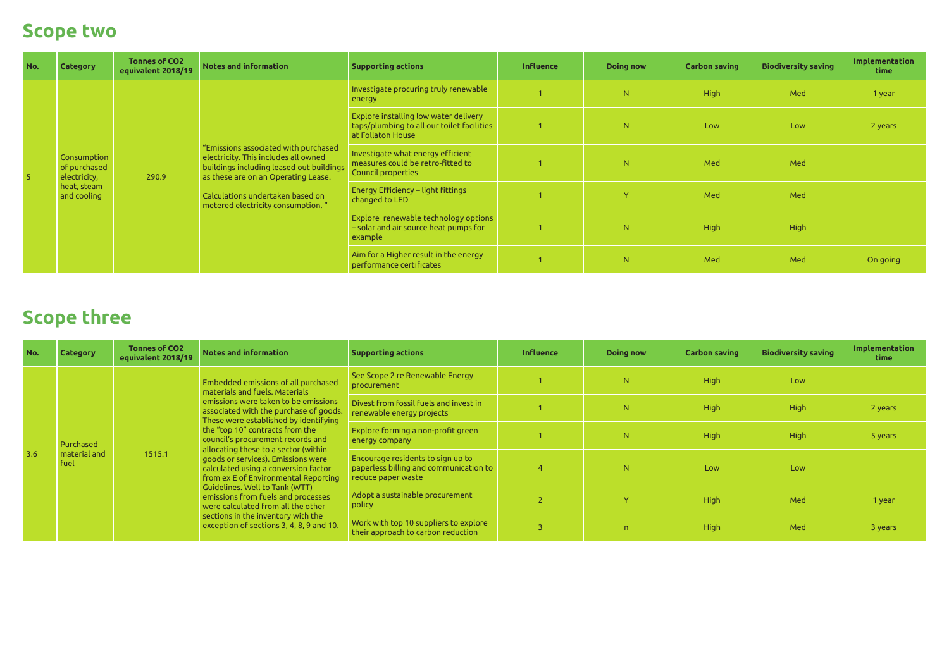### **Scope two**

| No. | <b>Category</b>                                                           | Tonnes of CO2<br>equivalent 2018/19 | Notes and information                                                                                                                                                                                                                    | <b>Supporting actions</b>                                                                                | <b>Influence</b> | <b>Doing now</b> | <b>Carbon saving</b> | <b>Biodiversity saving</b> | Implementation<br><b>time</b> |
|-----|---------------------------------------------------------------------------|-------------------------------------|------------------------------------------------------------------------------------------------------------------------------------------------------------------------------------------------------------------------------------------|----------------------------------------------------------------------------------------------------------|------------------|------------------|----------------------|----------------------------|-------------------------------|
|     | Consumption<br>of purchased<br>electricity,<br>heat, steam<br>and cooling | 290.9                               | "Emissions associated with purchased<br>electricity. This includes all owned<br>buildings including leased out buildings<br>as these are on an Operating Lease.<br>Calculations undertaken based on<br>metered electricity consumption." | Investigate procuring truly renewable<br>energy                                                          |                  | N                | <b>High</b>          | Med                        | 1 year                        |
|     |                                                                           |                                     |                                                                                                                                                                                                                                          | Explore installing low water delivery<br>taps/plumbing to all our toilet facilities<br>at Follaton House |                  | N.               | Low                  | Low                        | 2 years                       |
|     |                                                                           |                                     |                                                                                                                                                                                                                                          | Investigate what energy efficient<br>measures could be retro-fitted to<br>Council properties             |                  | N.               | Med                  | Med                        |                               |
|     |                                                                           |                                     |                                                                                                                                                                                                                                          | <b>Energy Efficiency – light fittings</b><br>changed to LED                                              |                  | Y.               | Med                  | Med                        |                               |
|     |                                                                           |                                     |                                                                                                                                                                                                                                          | Explore renewable technology options<br>- solar and air source heat pumps for<br>example                 |                  | N                | <b>High</b>          | <b>High</b>                |                               |
|     |                                                                           |                                     |                                                                                                                                                                                                                                          | Aim for a Higher result in the energy<br>performance certificates                                        |                  | N                | Med                  | Med                        | On going                      |

## **Scope three**

| No. | <b>Category</b>                   | <b>Tonnes of CO2</b><br>equivalent 2018/19 | Notes and information                                                                                                                                                                                                                                                                                                                                                                                                                                                                                                                                                                                                                  | <b>Supporting actions</b>                                                                         | <b>Influence</b> | <b>Doing now</b> | <b>Carbon saving</b> | <b>Biodiversity saving</b> | Implementation<br><b>time</b> |
|-----|-----------------------------------|--------------------------------------------|----------------------------------------------------------------------------------------------------------------------------------------------------------------------------------------------------------------------------------------------------------------------------------------------------------------------------------------------------------------------------------------------------------------------------------------------------------------------------------------------------------------------------------------------------------------------------------------------------------------------------------------|---------------------------------------------------------------------------------------------------|------------------|------------------|----------------------|----------------------------|-------------------------------|
| 3.6 | Purchased<br>material and<br>fuel | 1515.1                                     | Embedded emissions of all purchased<br>materials and fuels. Materials<br>emissions were taken to be emissions<br>associated with the purchase of goods.<br>These were established by identifying<br>the "top 10" contracts from the<br>council's procurement records and<br>allocating these to a sector (within<br>goods or services). Emissions were<br>calculated using a conversion factor<br>from ex E of Environmental Reporting<br>Guidelines. Well to Tank (WTT)<br>emissions from fuels and processes<br>were calculated from all the other<br>sections in the inventory with the<br>exception of sections 3, 4, 8, 9 and 10. | See Scope 2 re Renewable Energy<br>procurement                                                    |                  | N.               | <b>High</b>          | Low                        |                               |
|     |                                   |                                            |                                                                                                                                                                                                                                                                                                                                                                                                                                                                                                                                                                                                                                        | Divest from fossil fuels and invest in<br>renewable energy projects                               |                  | N.               | <b>High</b>          | High                       | 2 years                       |
|     |                                   |                                            |                                                                                                                                                                                                                                                                                                                                                                                                                                                                                                                                                                                                                                        | Explore forming a non-profit green<br>energy company                                              |                  | N.               | <b>High</b>          | High                       | 5 years                       |
|     |                                   |                                            |                                                                                                                                                                                                                                                                                                                                                                                                                                                                                                                                                                                                                                        | Encourage residents to sign up to<br>paperless billing and communication to<br>reduce paper waste |                  | N.               | Low                  | Low                        |                               |
|     |                                   |                                            |                                                                                                                                                                                                                                                                                                                                                                                                                                                                                                                                                                                                                                        | Adopt a sustainable procurement<br>policy                                                         |                  |                  | <b>High</b>          | Med                        | 1 year                        |
|     |                                   |                                            |                                                                                                                                                                                                                                                                                                                                                                                                                                                                                                                                                                                                                                        | Work with top 10 suppliers to explore<br>their approach to carbon reduction                       |                  | $\mathsf{n}$     | <b>High</b>          | Med                        | 3 years                       |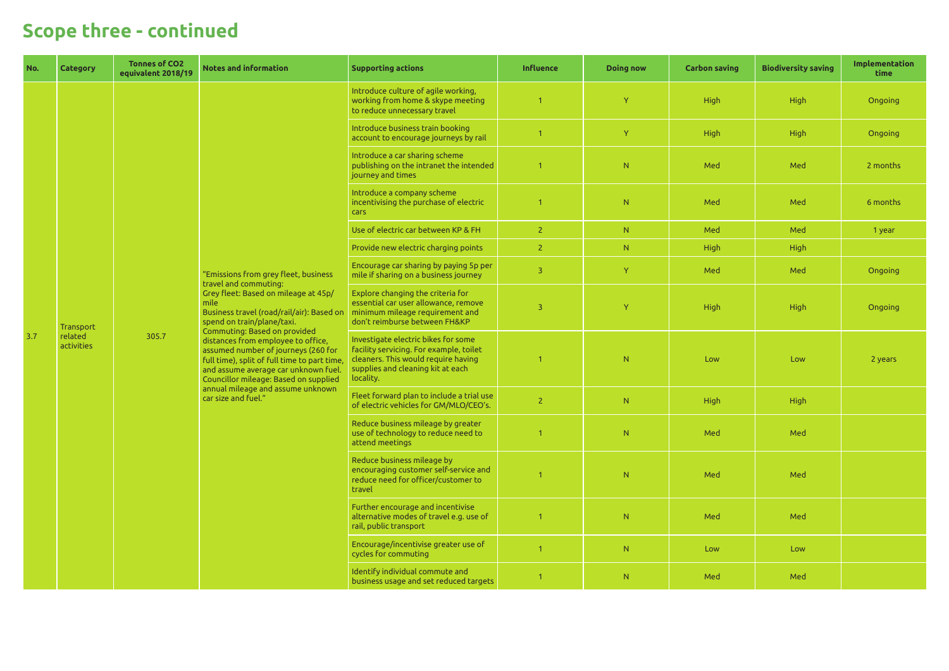| No. | <b>Category</b>                    | <b>Tonnes of CO2</b><br>equivalent 2018/19 | <b>Notes and information</b>                                                                                                                                                                                                                                                                                                                                                                                                                                                                       | <b>Supporting actions</b>                                                                                                                                               | <b>Influence</b>        | <b>Doing now</b> | <b>Carbon saving</b> | <b>Biodiversity saving</b> | Implementation<br>time |
|-----|------------------------------------|--------------------------------------------|----------------------------------------------------------------------------------------------------------------------------------------------------------------------------------------------------------------------------------------------------------------------------------------------------------------------------------------------------------------------------------------------------------------------------------------------------------------------------------------------------|-------------------------------------------------------------------------------------------------------------------------------------------------------------------------|-------------------------|------------------|----------------------|----------------------------|------------------------|
|     |                                    |                                            |                                                                                                                                                                                                                                                                                                                                                                                                                                                                                                    | Introduce culture of agile working,<br>working from home & skype meeting<br>to reduce unnecessary travel                                                                | $\overline{1}$          | Y.               | <b>High</b>          | High                       | Ongoing                |
|     |                                    |                                            |                                                                                                                                                                                                                                                                                                                                                                                                                                                                                                    | Introduce business train booking<br>account to encourage journeys by rail                                                                                               |                         | Y.               | <b>High</b>          | High                       | Ongoing                |
|     |                                    |                                            |                                                                                                                                                                                                                                                                                                                                                                                                                                                                                                    | Introduce a car sharing scheme<br>publishing on the intranet the intended<br>journey and times                                                                          | $\overline{1}$          | N                | Med                  | Med                        | 2 months               |
|     |                                    |                                            |                                                                                                                                                                                                                                                                                                                                                                                                                                                                                                    | Introduce a company scheme<br>incentivising the purchase of electric<br>cars                                                                                            | -1                      | N                | Med                  | Med                        | 6 months               |
|     |                                    |                                            |                                                                                                                                                                                                                                                                                                                                                                                                                                                                                                    | Use of electric car between KP & FH                                                                                                                                     | $\overline{2}$          | N                | Med                  | Med                        | 1 year                 |
| 3.7 |                                    | 305.7                                      | "Emissions from grey fleet, business<br>travel and commuting:<br>Grey fleet: Based on mileage at 45p/<br>mile<br>Business travel (road/rail/air): Based on<br>spend on train/plane/taxi.<br>Commuting: Based on provided<br>distances from employee to office,<br>assumed number of journeys (260 for<br>full time), split of full time to part time,<br>and assume average car unknown fuel.<br>Councillor mileage: Based on supplied<br>annual mileage and assume unknown<br>car size and fuel." | Provide new electric charging points                                                                                                                                    | $\overline{2}$          | N.               | <b>High</b>          | High                       |                        |
|     | Transport<br>related<br>activities |                                            |                                                                                                                                                                                                                                                                                                                                                                                                                                                                                                    | Encourage car sharing by paying 5p per<br>mile if sharing on a business journey                                                                                         | $\overline{3}$          | Y                | Med                  | Med                        | Ongoing                |
|     |                                    |                                            |                                                                                                                                                                                                                                                                                                                                                                                                                                                                                                    | Explore changing the criteria for<br>essential car user allowance, remove<br>minimum mileage requirement and<br>don't reimburse between FH&KP                           | $\overline{\mathbf{3}}$ | Y                | <b>High</b>          | High                       | Ongoing                |
|     |                                    |                                            |                                                                                                                                                                                                                                                                                                                                                                                                                                                                                                    | Investigate electric bikes for some<br>facility servicing. For example, toilet<br>cleaners. This would require having<br>supplies and cleaning kit at each<br>locality. | -1                      | N                | Low                  | Low                        | 2 years                |
|     |                                    |                                            |                                                                                                                                                                                                                                                                                                                                                                                                                                                                                                    | Fleet forward plan to include a trial use<br>of electric vehicles for GM/MLO/CEO's.                                                                                     | $\overline{2}$          | N                | <b>High</b>          | High                       |                        |
|     |                                    |                                            |                                                                                                                                                                                                                                                                                                                                                                                                                                                                                                    | Reduce business mileage by greater<br>use of technology to reduce need to<br>attend meetings                                                                            | -1                      | N                | Med                  | Med                        |                        |
|     |                                    |                                            |                                                                                                                                                                                                                                                                                                                                                                                                                                                                                                    | Reduce business mileage by<br>encouraging customer self-service and<br>reduce need for officer/customer to<br>travel                                                    |                         | N                | Med                  | Med                        |                        |
|     |                                    |                                            |                                                                                                                                                                                                                                                                                                                                                                                                                                                                                                    | Further encourage and incentivise<br>alternative modes of travel e.g. use of<br>rail, public transport                                                                  | $\overline{1}$          | N                | Med                  | Med                        |                        |
|     |                                    |                                            |                                                                                                                                                                                                                                                                                                                                                                                                                                                                                                    | Encourage/incentivise greater use of<br>cycles for commuting                                                                                                            |                         | N                | Low                  | Low                        |                        |
|     |                                    |                                            |                                                                                                                                                                                                                                                                                                                                                                                                                                                                                                    | Identify individual commute and<br>business usage and set reduced targets                                                                                               |                         | N                | Med                  | Med                        |                        |

# **Scope three - continued**